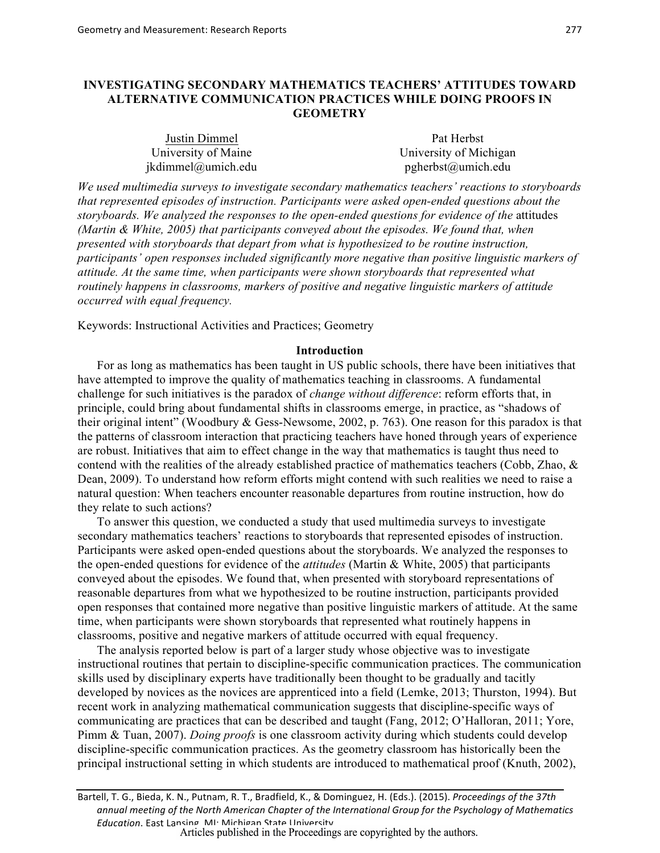# **INVESTIGATING SECONDARY MATHEMATICS TEACHERS' ATTITUDES TOWARD ALTERNATIVE COMMUNICATION PRACTICES WHILE DOING PROOFS IN GEOMETRY**

| Justin Dimmel       | Pat Herbst             |  |  |
|---------------------|------------------------|--|--|
| University of Maine | University of Michigan |  |  |
| jkdimmel@umich.edu  | pgherbst@umich.edu     |  |  |

*We used multimedia surveys to investigate secondary mathematics teachers' reactions to storyboards that represented episodes of instruction. Participants were asked open-ended questions about the storyboards. We analyzed the responses to the open-ended questions for evidence of the* attitudes *(Martin & White, 2005) that participants conveyed about the episodes. We found that, when presented with storyboards that depart from what is hypothesized to be routine instruction, participants' open responses included significantly more negative than positive linguistic markers of attitude. At the same time, when participants were shown storyboards that represented what routinely happens in classrooms, markers of positive and negative linguistic markers of attitude occurred with equal frequency.* 

Keywords: Instructional Activities and Practices; Geometry

# **Introduction**

For as long as mathematics has been taught in US public schools, there have been initiatives that have attempted to improve the quality of mathematics teaching in classrooms. A fundamental challenge for such initiatives is the paradox of *change without difference*: reform efforts that, in principle, could bring about fundamental shifts in classrooms emerge, in practice, as "shadows of their original intent" (Woodbury & Gess-Newsome, 2002, p. 763). One reason for this paradox is that the patterns of classroom interaction that practicing teachers have honed through years of experience are robust. Initiatives that aim to effect change in the way that mathematics is taught thus need to contend with the realities of the already established practice of mathematics teachers (Cobb, Zhao, & Dean, 2009). To understand how reform efforts might contend with such realities we need to raise a natural question: When teachers encounter reasonable departures from routine instruction, how do they relate to such actions?

To answer this question, we conducted a study that used multimedia surveys to investigate secondary mathematics teachers' reactions to storyboards that represented episodes of instruction. Participants were asked open-ended questions about the storyboards. We analyzed the responses to the open-ended questions for evidence of the *attitudes* (Martin & White, 2005) that participants conveyed about the episodes. We found that, when presented with storyboard representations of reasonable departures from what we hypothesized to be routine instruction, participants provided open responses that contained more negative than positive linguistic markers of attitude. At the same time, when participants were shown storyboards that represented what routinely happens in classrooms, positive and negative markers of attitude occurred with equal frequency.

The analysis reported below is part of a larger study whose objective was to investigate instructional routines that pertain to discipline-specific communication practices. The communication skills used by disciplinary experts have traditionally been thought to be gradually and tacitly developed by novices as the novices are apprenticed into a field (Lemke, 2013; Thurston, 1994). But recent work in analyzing mathematical communication suggests that discipline-specific ways of communicating are practices that can be described and taught (Fang, 2012; O'Halloran, 2011; Yore, Pimm & Tuan, 2007). *Doing proofs* is one classroom activity during which students could develop discipline-specific communication practices. As the geometry classroom has historically been the principal instructional setting in which students are introduced to mathematical proof (Knuth, 2002),

Bartell, T. G., Bieda, K. N., Putnam, R. T., Bradfield, K., & Dominguez, H. (Eds.). (2015). *Proceedings of the 37th* annual meeting of the North American Chapter of the International Group for the Psychology of Mathematics *Education*. East Lansing, MI: Michigan State University.<br>Articles published in the Proceedings are copyrighted by the authors.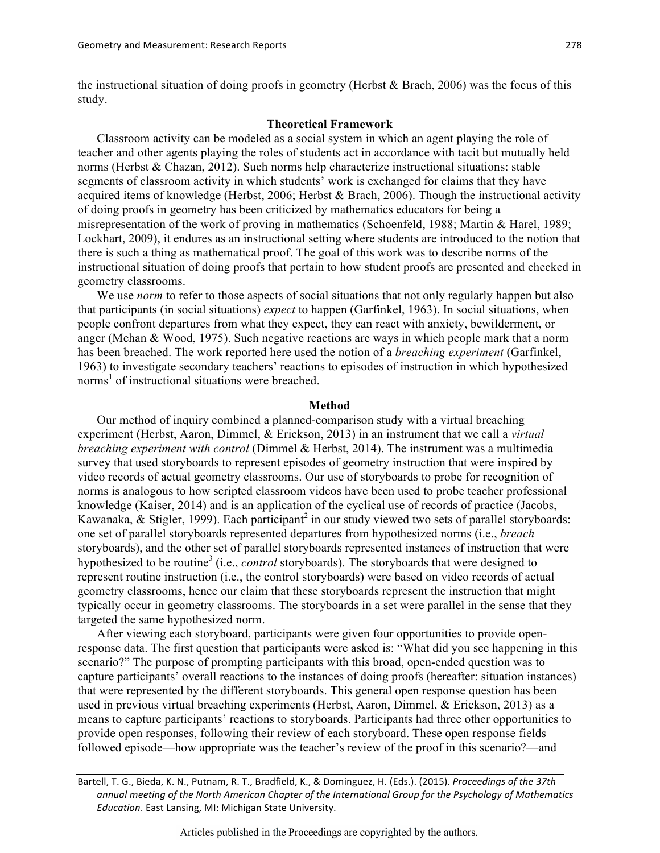the instructional situation of doing proofs in geometry (Herbst & Brach, 2006) was the focus of this study.

# **Theoretical Framework**

Classroom activity can be modeled as a social system in which an agent playing the role of teacher and other agents playing the roles of students act in accordance with tacit but mutually held norms (Herbst & Chazan, 2012). Such norms help characterize instructional situations: stable segments of classroom activity in which students' work is exchanged for claims that they have acquired items of knowledge (Herbst, 2006; Herbst & Brach, 2006). Though the instructional activity of doing proofs in geometry has been criticized by mathematics educators for being a misrepresentation of the work of proving in mathematics (Schoenfeld, 1988; Martin & Harel, 1989; Lockhart, 2009), it endures as an instructional setting where students are introduced to the notion that there is such a thing as mathematical proof. The goal of this work was to describe norms of the instructional situation of doing proofs that pertain to how student proofs are presented and checked in geometry classrooms.

We use *norm* to refer to those aspects of social situations that not only regularly happen but also that participants (in social situations) *expect* to happen (Garfinkel, 1963). In social situations, when people confront departures from what they expect, they can react with anxiety, bewilderment, or anger (Mehan & Wood, 1975). Such negative reactions are ways in which people mark that a norm has been breached. The work reported here used the notion of a *breaching experiment* (Garfinkel, 1963) to investigate secondary teachers' reactions to episodes of instruction in which hypothesized norms<sup>1</sup> of instructional situations were breached.

#### **Method**

Our method of inquiry combined a planned-comparison study with a virtual breaching experiment (Herbst, Aaron, Dimmel, & Erickson, 2013) in an instrument that we call a *virtual breaching experiment with control* (Dimmel & Herbst, 2014). The instrument was a multimedia survey that used storyboards to represent episodes of geometry instruction that were inspired by video records of actual geometry classrooms. Our use of storyboards to probe for recognition of norms is analogous to how scripted classroom videos have been used to probe teacher professional knowledge (Kaiser, 2014) and is an application of the cyclical use of records of practice (Jacobs, Kawanaka,  $\&$  Stigler, 1999). Each participant<sup>2</sup> in our study viewed two sets of parallel storyboards: one set of parallel storyboards represented departures from hypothesized norms (i.e., *breach* storyboards), and the other set of parallel storyboards represented instances of instruction that were hypothesized to be routine<sup>3</sup> (i.e., *control* storyboards). The storyboards that were designed to represent routine instruction (i.e., the control storyboards) were based on video records of actual geometry classrooms, hence our claim that these storyboards represent the instruction that might typically occur in geometry classrooms. The storyboards in a set were parallel in the sense that they targeted the same hypothesized norm.

After viewing each storyboard, participants were given four opportunities to provide openresponse data. The first question that participants were asked is: "What did you see happening in this scenario?" The purpose of prompting participants with this broad, open-ended question was to capture participants' overall reactions to the instances of doing proofs (hereafter: situation instances) that were represented by the different storyboards. This general open response question has been used in previous virtual breaching experiments (Herbst, Aaron, Dimmel, & Erickson, 2013) as a means to capture participants' reactions to storyboards. Participants had three other opportunities to provide open responses, following their review of each storyboard. These open response fields followed episode—how appropriate was the teacher's review of the proof in this scenario?—and

Bartell, T. G., Bieda, K. N., Putnam, R. T., Bradfield, K., & Dominguez, H. (Eds.). (2015). *Proceedings of the 37th* annual meeting of the North American Chapter of the International Group for the Psychology of Mathematics *Education*. East Lansing, MI: Michigan State University.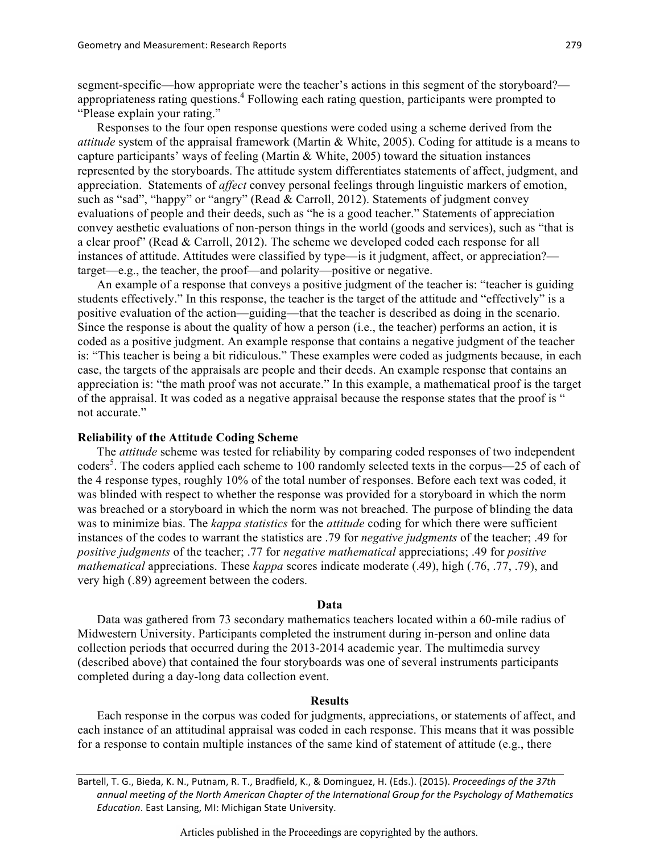segment-specific—how appropriate were the teacher's actions in this segment of the storyboard? appropriateness rating questions. <sup>4</sup> Following each rating question, participants were prompted to "Please explain your rating."

Responses to the four open response questions were coded using a scheme derived from the *attitude* system of the appraisal framework (Martin & White, 2005). Coding for attitude is a means to capture participants' ways of feeling (Martin & White, 2005) toward the situation instances represented by the storyboards. The attitude system differentiates statements of affect, judgment, and appreciation. Statements of *affect* convey personal feelings through linguistic markers of emotion, such as "sad", "happy" or "angry" (Read & Carroll, 2012). Statements of judgment convey evaluations of people and their deeds, such as "he is a good teacher." Statements of appreciation convey aesthetic evaluations of non-person things in the world (goods and services), such as "that is a clear proof" (Read & Carroll, 2012). The scheme we developed coded each response for all instances of attitude. Attitudes were classified by type—is it judgment, affect, or appreciation? target—e.g., the teacher, the proof—and polarity—positive or negative.

An example of a response that conveys a positive judgment of the teacher is: "teacher is guiding students effectively." In this response, the teacher is the target of the attitude and "effectively" is a positive evaluation of the action—guiding—that the teacher is described as doing in the scenario. Since the response is about the quality of how a person (i.e., the teacher) performs an action, it is coded as a positive judgment. An example response that contains a negative judgment of the teacher is: "This teacher is being a bit ridiculous." These examples were coded as judgments because, in each case, the targets of the appraisals are people and their deeds. An example response that contains an appreciation is: "the math proof was not accurate." In this example, a mathematical proof is the target of the appraisal. It was coded as a negative appraisal because the response states that the proof is " not accurate"

## **Reliability of the Attitude Coding Scheme**

The *attitude* scheme was tested for reliability by comparing coded responses of two independent coders<sup>5</sup>. The coders applied each scheme to 100 randomly selected texts in the corpus—25 of each of the 4 response types, roughly 10% of the total number of responses. Before each text was coded, it was blinded with respect to whether the response was provided for a storyboard in which the norm was breached or a storyboard in which the norm was not breached. The purpose of blinding the data was to minimize bias. The *kappa statistics* for the *attitude* coding for which there were sufficient instances of the codes to warrant the statistics are .79 for *negative judgments* of the teacher; .49 for *positive judgments* of the teacher; .77 for *negative mathematical* appreciations; .49 for *positive mathematical* appreciations. These *kappa* scores indicate moderate (.49), high (.76, .77, .79), and very high (.89) agreement between the coders.

#### **Data**

Data was gathered from 73 secondary mathematics teachers located within a 60-mile radius of Midwestern University. Participants completed the instrument during in-person and online data collection periods that occurred during the 2013-2014 academic year. The multimedia survey (described above) that contained the four storyboards was one of several instruments participants completed during a day-long data collection event.

#### **Results**

Each response in the corpus was coded for judgments, appreciations, or statements of affect, and each instance of an attitudinal appraisal was coded in each response. This means that it was possible for a response to contain multiple instances of the same kind of statement of attitude (e.g., there

Bartell, T. G., Bieda, K. N., Putnam, R. T., Bradfield, K., & Dominguez, H. (Eds.). (2015). *Proceedings of the 37th* annual meeting of the North American Chapter of the International Group for the Psychology of Mathematics *Education*. East Lansing, MI: Michigan State University.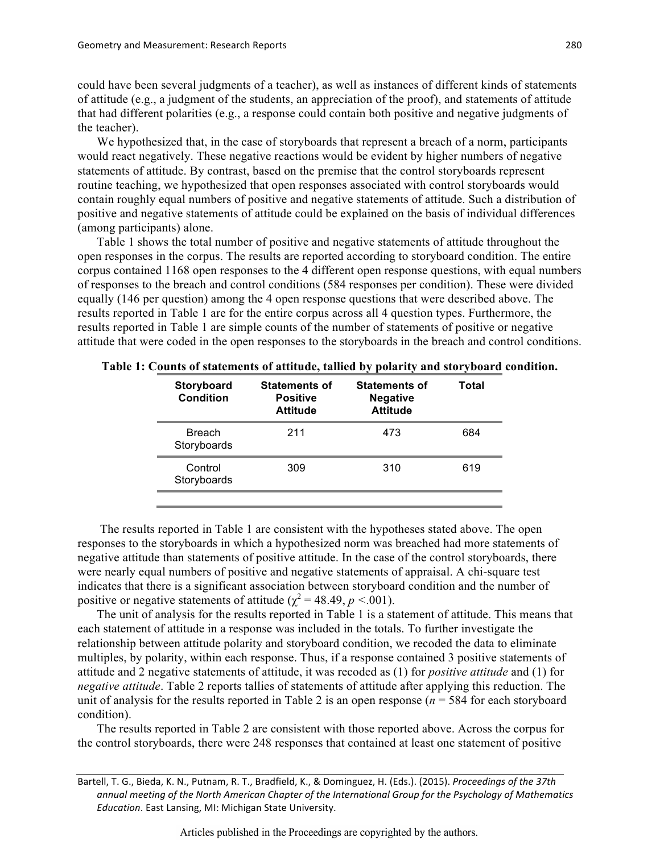could have been several judgments of a teacher), as well as instances of different kinds of statements of attitude (e.g., a judgment of the students, an appreciation of the proof), and statements of attitude that had different polarities (e.g., a response could contain both positive and negative judgments of the teacher).

We hypothesized that, in the case of storyboards that represent a breach of a norm, participants would react negatively. These negative reactions would be evident by higher numbers of negative statements of attitude. By contrast, based on the premise that the control storyboards represent routine teaching, we hypothesized that open responses associated with control storyboards would contain roughly equal numbers of positive and negative statements of attitude. Such a distribution of positive and negative statements of attitude could be explained on the basis of individual differences (among participants) alone.

Table 1 shows the total number of positive and negative statements of attitude throughout the open responses in the corpus. The results are reported according to storyboard condition. The entire corpus contained 1168 open responses to the 4 different open response questions, with equal numbers of responses to the breach and control conditions (584 responses per condition). These were divided equally (146 per question) among the 4 open response questions that were described above. The results reported in Table 1 are for the entire corpus across all 4 question types. Furthermore, the results reported in Table 1 are simple counts of the number of statements of positive or negative attitude that were coded in the open responses to the storyboards in the breach and control conditions.

| Storyboard<br>Condition      | <b>Statements of</b><br><b>Positive</b><br><b>Attitude</b> | <b>Statements of</b><br><b>Negative</b><br><b>Attitude</b> | Total |
|------------------------------|------------------------------------------------------------|------------------------------------------------------------|-------|
| <b>Breach</b><br>Storyboards | 211                                                        | 473                                                        | 684   |
| Control<br>Storyboards       | 309                                                        | 310                                                        | 619   |

**Table 1: Counts of statements of attitude, tallied by polarity and storyboard condition.**

The results reported in Table 1 are consistent with the hypotheses stated above. The open responses to the storyboards in which a hypothesized norm was breached had more statements of negative attitude than statements of positive attitude. In the case of the control storyboards, there were nearly equal numbers of positive and negative statements of appraisal. A chi-square test indicates that there is a significant association between storyboard condition and the number of positive or negative statements of attitude ( $\chi^2$  = 48.49, *p* <.001).

The unit of analysis for the results reported in Table 1 is a statement of attitude. This means that each statement of attitude in a response was included in the totals. To further investigate the relationship between attitude polarity and storyboard condition, we recoded the data to eliminate multiples, by polarity, within each response. Thus, if a response contained 3 positive statements of attitude and 2 negative statements of attitude, it was recoded as (1) for *positive attitude* and (1) for *negative attitude*. Table 2 reports tallies of statements of attitude after applying this reduction. The unit of analysis for the results reported in Table 2 is an open response (*n* = 584 for each storyboard condition).

The results reported in Table 2 are consistent with those reported above. Across the corpus for the control storyboards, there were 248 responses that contained at least one statement of positive

Bartell, T. G., Bieda, K. N., Putnam, R. T., Bradfield, K., & Dominguez, H. (Eds.). (2015). *Proceedings of the 37th* annual meeting of the North American Chapter of the International Group for the Psychology of Mathematics *Education*. East Lansing, MI: Michigan State University.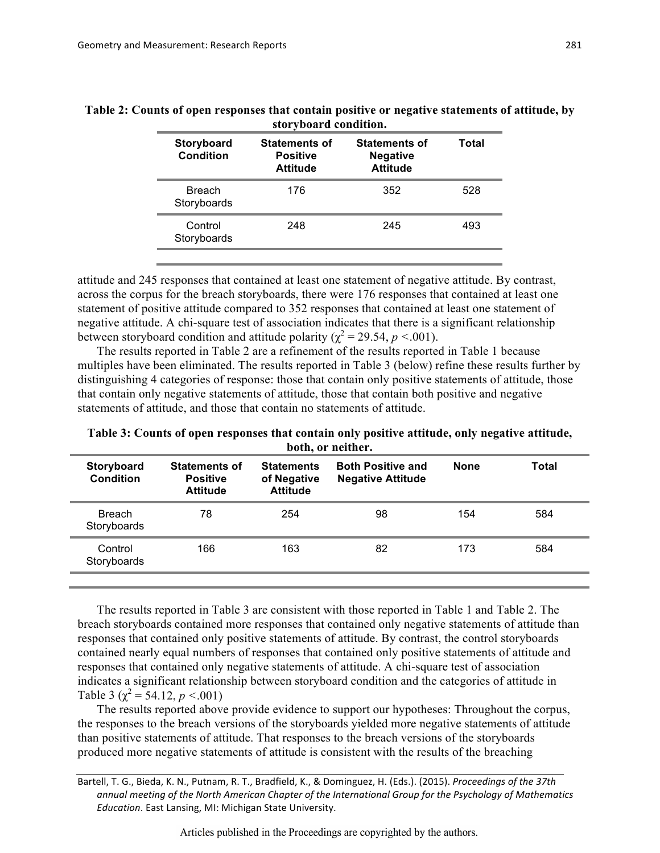| Table 2: Counts of open responses that contain positive or negative statements of attitude, by |  |  |
|------------------------------------------------------------------------------------------------|--|--|

| storyboard condition.                                      |                                                            |       |  |
|------------------------------------------------------------|------------------------------------------------------------|-------|--|
| <b>Statements of</b><br><b>Positive</b><br><b>Attitude</b> | <b>Statements of</b><br><b>Negative</b><br><b>Attitude</b> | Total |  |
| 176                                                        | 352                                                        | 528   |  |
| 248                                                        | 245                                                        | 493   |  |
|                                                            |                                                            |       |  |

attitude and 245 responses that contained at least one statement of negative attitude. By contrast, across the corpus for the breach storyboards, there were 176 responses that contained at least one statement of positive attitude compared to 352 responses that contained at least one statement of negative attitude. A chi-square test of association indicates that there is a significant relationship between storyboard condition and attitude polarity ( $\chi^2$  = 29.54, *p* <.001).

The results reported in Table 2 are a refinement of the results reported in Table 1 because multiples have been eliminated. The results reported in Table 3 (below) refine these results further by distinguishing 4 categories of response: those that contain only positive statements of attitude, those that contain only negative statements of attitude, those that contain both positive and negative statements of attitude, and those that contain no statements of attitude.

**Table 3: Counts of open responses that contain only positive attitude, only negative attitude, both, or neither.** 

| Storyboard<br><b>Condition</b> | <b>Statements of</b><br><b>Positive</b><br><b>Attitude</b> | <b>Statements</b><br>of Negative<br><b>Attitude</b> | <b>Both Positive and</b><br><b>Negative Attitude</b> | <b>None</b> | Total |
|--------------------------------|------------------------------------------------------------|-----------------------------------------------------|------------------------------------------------------|-------------|-------|
| <b>Breach</b><br>Storyboards   | 78                                                         | 254                                                 | 98                                                   | 154         | 584   |
| Control<br>Storyboards         | 166                                                        | 163                                                 | 82                                                   | 173         | 584   |
|                                |                                                            |                                                     |                                                      |             |       |

The results reported in Table 3 are consistent with those reported in Table 1 and Table 2. The breach storyboards contained more responses that contained only negative statements of attitude than responses that contained only positive statements of attitude. By contrast, the control storyboards contained nearly equal numbers of responses that contained only positive statements of attitude and responses that contained only negative statements of attitude. A chi-square test of association indicates a significant relationship between storyboard condition and the categories of attitude in Table 3 ( $\gamma^2$  = 54.12, *p* <.001)

The results reported above provide evidence to support our hypotheses: Throughout the corpus, the responses to the breach versions of the storyboards yielded more negative statements of attitude than positive statements of attitude. That responses to the breach versions of the storyboards produced more negative statements of attitude is consistent with the results of the breaching

Bartell, T. G., Bieda, K. N., Putnam, R. T., Bradfield, K., & Dominguez, H. (Eds.). (2015). *Proceedings of the 37th* annual meeting of the North American Chapter of the International Group for the Psychology of Mathematics *Education*. East Lansing, MI: Michigan State University.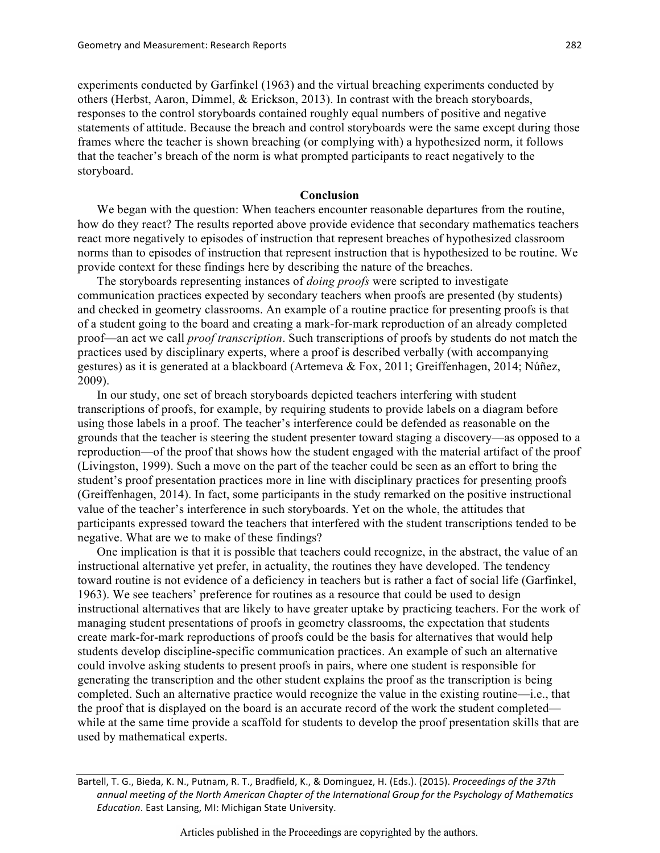experiments conducted by Garfinkel (1963) and the virtual breaching experiments conducted by others (Herbst, Aaron, Dimmel, & Erickson, 2013). In contrast with the breach storyboards, responses to the control storyboards contained roughly equal numbers of positive and negative statements of attitude. Because the breach and control storyboards were the same except during those frames where the teacher is shown breaching (or complying with) a hypothesized norm, it follows that the teacher's breach of the norm is what prompted participants to react negatively to the storyboard.

## **Conclusion**

We began with the question: When teachers encounter reasonable departures from the routine, how do they react? The results reported above provide evidence that secondary mathematics teachers react more negatively to episodes of instruction that represent breaches of hypothesized classroom norms than to episodes of instruction that represent instruction that is hypothesized to be routine. We provide context for these findings here by describing the nature of the breaches.

The storyboards representing instances of *doing proofs* were scripted to investigate communication practices expected by secondary teachers when proofs are presented (by students) and checked in geometry classrooms. An example of a routine practice for presenting proofs is that of a student going to the board and creating a mark-for-mark reproduction of an already completed proof—an act we call *proof transcription*. Such transcriptions of proofs by students do not match the practices used by disciplinary experts, where a proof is described verbally (with accompanying gestures) as it is generated at a blackboard (Artemeva & Fox, 2011; Greiffenhagen, 2014; Núñez, 2009).

In our study, one set of breach storyboards depicted teachers interfering with student transcriptions of proofs, for example, by requiring students to provide labels on a diagram before using those labels in a proof. The teacher's interference could be defended as reasonable on the grounds that the teacher is steering the student presenter toward staging a discovery—as opposed to a reproduction—of the proof that shows how the student engaged with the material artifact of the proof (Livingston, 1999). Such a move on the part of the teacher could be seen as an effort to bring the student's proof presentation practices more in line with disciplinary practices for presenting proofs (Greiffenhagen, 2014). In fact, some participants in the study remarked on the positive instructional value of the teacher's interference in such storyboards. Yet on the whole, the attitudes that participants expressed toward the teachers that interfered with the student transcriptions tended to be negative. What are we to make of these findings?

One implication is that it is possible that teachers could recognize, in the abstract, the value of an instructional alternative yet prefer, in actuality, the routines they have developed. The tendency toward routine is not evidence of a deficiency in teachers but is rather a fact of social life (Garfinkel, 1963). We see teachers' preference for routines as a resource that could be used to design instructional alternatives that are likely to have greater uptake by practicing teachers. For the work of managing student presentations of proofs in geometry classrooms, the expectation that students create mark-for-mark reproductions of proofs could be the basis for alternatives that would help students develop discipline-specific communication practices. An example of such an alternative could involve asking students to present proofs in pairs, where one student is responsible for generating the transcription and the other student explains the proof as the transcription is being completed. Such an alternative practice would recognize the value in the existing routine—i.e., that the proof that is displayed on the board is an accurate record of the work the student completed while at the same time provide a scaffold for students to develop the proof presentation skills that are used by mathematical experts.

Bartell, T. G., Bieda, K. N., Putnam, R. T., Bradfield, K., & Dominguez, H. (Eds.). (2015). *Proceedings of the 37th* annual meeting of the North American Chapter of the International Group for the Psychology of Mathematics *Education*. East Lansing, MI: Michigan State University.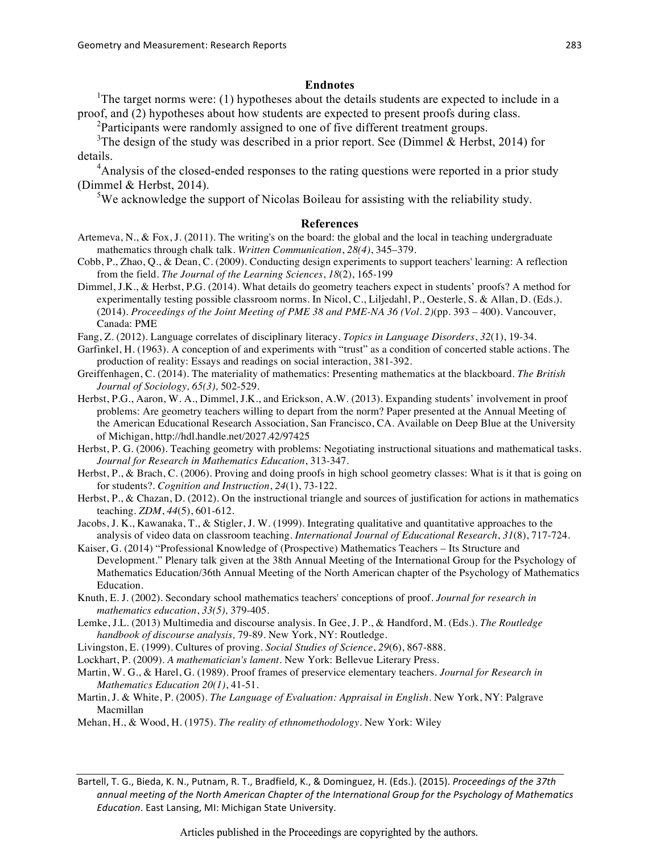### **Endnotes**

<sup>1</sup>The target norms were: (1) hypotheses about the details students are expected to include in a proof, and (2) hypotheses about how students are expected to present proofs during class.

<sup>2</sup>Participants were randomly assigned to one of five different treatment groups.

<sup>3</sup>The design of the study was described in a prior report. See (Dimmel & Herbst, 2014) for details.

<sup>4</sup> Analysis of the closed-ended responses to the rating questions were reported in a prior study (Dimmel & Herbst, 2014).

<sup>5</sup>We acknowledge the support of Nicolas Boileau for assisting with the reliability study.

#### **References**

- Artemeva, N., & Fox, J. (2011). The writing's on the board: the global and the local in teaching undergraduate mathematics through chalk talk. *Written Communication*, *28(4)*, 345–379.
- Cobb, P., Zhao, Q., & Dean, C. (2009). Conducting design experiments to support teachers' learning: A reflection from the field. *The Journal of the Learning Sciences*, *18*(2), 165-199
- Dimmel, J.K., & Herbst, P.G. (2014). What details do geometry teachers expect in students' proofs? A method for experimentally testing possible classroom norms. In Nicol, C., Liljedahl, P., Oesterle, S. & Allan, D. (Eds.). (2014). *Proceedings of the Joint Meeting of PME 38 and PME-NA 36 (Vol. 2)*(pp. 393 – 400). Vancouver, Canada: PME
- Fang, Z. (2012). Language correlates of disciplinary literacy. *Topics in Language Disorders*, *32*(1), 19-34.
- Garfinkel, H. (1963). A conception of and experiments with "trust" as a condition of concerted stable actions. The production of reality: Essays and readings on social interaction, 381-392.
- Greiffenhagen, C. (2014). The materiality of mathematics: Presenting mathematics at the blackboard. *The British Journal of Sociology, 65(3),* 502-529.
- Herbst, P.G., Aaron, W. A., Dimmel, J.K., and Erickson, A.W. (2013). Expanding students' involvement in proof problems: Are geometry teachers willing to depart from the norm? Paper presented at the Annual Meeting of the American Educational Research Association, San Francisco, CA. Available on Deep Blue at the University of Michigan, http://hdl.handle.net/2027.42/97425

Herbst, P. G. (2006). Teaching geometry with problems: Negotiating instructional situations and mathematical tasks. *Journal for Research in Mathematics Education*, 313-347.

- Herbst, P., & Brach, C. (2006). Proving and doing proofs in high school geometry classes: What is it that is going on for students?. *Cognition and Instruction*, *24*(1), 73-122.
- Herbst, P., & Chazan, D. (2012). On the instructional triangle and sources of justification for actions in mathematics teaching. *ZDM*, *44*(5), 601-612.
- Jacobs, J. K., Kawanaka, T., & Stigler, J. W. (1999). Integrating qualitative and quantitative approaches to the analysis of video data on classroom teaching. *International Journal of Educational Research*, *31*(8), 717-724.
- Kaiser, G. (2014) "Professional Knowledge of (Prospective) Mathematics Teachers Its Structure and Development." Plenary talk given at the 38th Annual Meeting of the International Group for the Psychology of Mathematics Education/36th Annual Meeting of the North American chapter of the Psychology of Mathematics Education.
- Knuth, E. J. (2002). Secondary school mathematics teachers' conceptions of proof. *Journal for research in mathematics education*, *33(5),* 379-405.
- Lemke, J.L. (2013) Multimedia and discourse analysis*.* In Gee, J. P., & Handford, M. (Eds.). *The Routledge handbook of discourse analysis,* 79-89. New York, NY: Routledge.
- Livingston, E. (1999). Cultures of proving. *Social Studies of Science*, *29*(6), 867-888.
- Lockhart, P. (2009). *A mathematician's lament*. New York: Bellevue Literary Press.
- Martin, W. G., & Harel, G. (1989). Proof frames of preservice elementary teachers. *Journal for Research in Mathematics Education 20(1)*, 41-51.
- Martin, J. & White, P. (2005). *The Language of Evaluation: Appraisal in English*. New York, NY: Palgrave Macmillan
- Mehan, H., & Wood, H. (1975). *The reality of ethnomethodology*. New York: Wiley

Bartell, T. G., Bieda, K. N., Putnam, R. T., Bradfield, K., & Dominguez, H. (Eds.). (2015). *Proceedings of the 37th* annual meeting of the North American Chapter of the International Group for the Psychology of Mathematics *Education*. East Lansing, MI: Michigan State University.